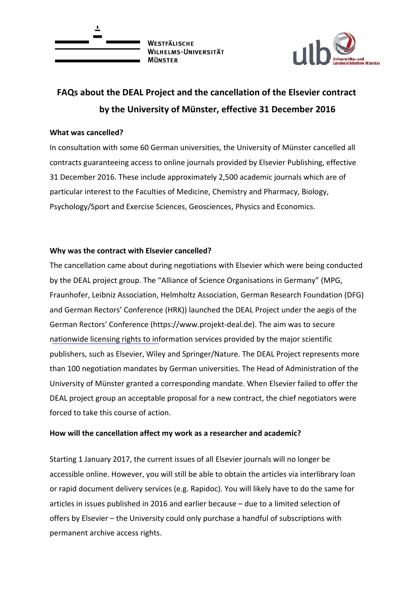

WESTFÄLISCHE WILHELMS-UNIVERSITÄT **MÜNSTED** 



# **FAQs about the DEAL Project and the cancellation of the Elsevier contract by the University of Münster, effective 31 December 2016**

## **What was cancelled?**

In consultation with some 60 German universities, the University of Münster cancelled all contracts guaranteeing access to online journals provided by Elsevier Publishing, effective 31 December 2016. These include approximately 2,500 academic journals which are of particular interest to the Faculties of Medicine, Chemistry and Pharmacy, Biology, Psychology/Sport and Exercise Sciences, Geosciences, Physics and Economics.

## **Why was the contract with Elsevier cancelled?**

The cancellation came about during negotiations with Elsevier which were being conducted by the DEAL project group. The "Alliance of Science Organisations in Germany" (MPG, Fraunhofer, Leibniz Association, Helmholtz Association, German Research Foundation (DFG) and German Rectors' Conference (HRK)) launched the DEAL Project under the aegis of the German Rectors' Conference (https://www.projekt‐deal.de). The aim was to secure nationwide licensing rights to information services provided by the major scientific publishers, such as Elsevier, Wiley and Springer/Nature. The DEAL Project represents more than 100 negotiation mandates by German universities. The Head of Administration of the University of Münster granted a corresponding mandate. When Elsevier failed to offer the DEAL project group an acceptable proposal for a new contract, the chief negotiators were forced to take this course of action.

# **How will the cancellation affect my work as a researcher and academic?**

Starting 1 January 2017, the current issues of all Elsevier journals will no longer be accessible online. However, you will still be able to obtain the articles via interlibrary loan or rapid document delivery services (e.g. Rapidoc). You will likely have to do the same for articles in issues published in 2016 and earlier because – due to a limited selection of offers by Elsevier – the University could only purchase a handful of subscriptions with permanent archive access rights.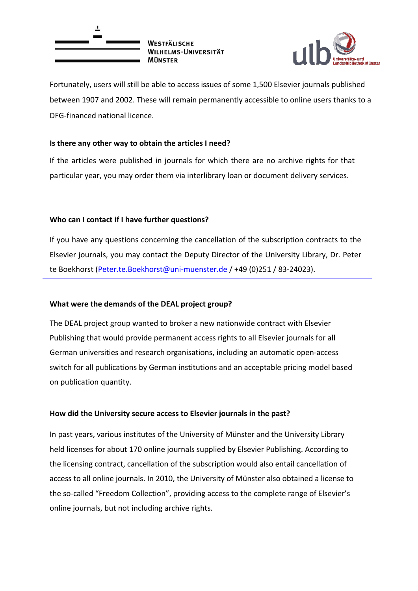



Fortunately, users will still be able to access issues of some 1,500 Elsevier journals published between 1907 and 2002. These will remain permanently accessible to online users thanks to a DFG‐financed national licence.

## **Is there any other way to obtain the articles I need?**

If the articles were published in journals for which there are no archive rights for that particular year, you may order them via interlibrary loan or document delivery services.

# **Who can I contact if I have further questions?**

If you have any questions concerning the cancellation of the subscription contracts to the Elsevier journals, you may contact the Deputy Director of the University Library, Dr. Peter te Boekhorst (Peter.te.Boekhorst@uni-muenster.de / +49 (0)251 / 83-24023).

#### **What were the demands of the DEAL project group?**

The DEAL project group wanted to broker a new nationwide contract with Elsevier Publishing that would provide permanent access rights to all Elsevier journals for all German universities and research organisations, including an automatic open‐access switch for all publications by German institutions and an acceptable pricing model based on publication quantity.

#### **How did the University secure access to Elsevier journals in the past?**

In past years, various institutes of the University of Münster and the University Library held licenses for about 170 online journals supplied by Elsevier Publishing. According to the licensing contract, cancellation of the subscription would also entail cancellation of access to all online journals. In 2010, the University of Münster also obtained a license to the so-called "Freedom Collection", providing access to the complete range of Elsevier's online journals, but not including archive rights.